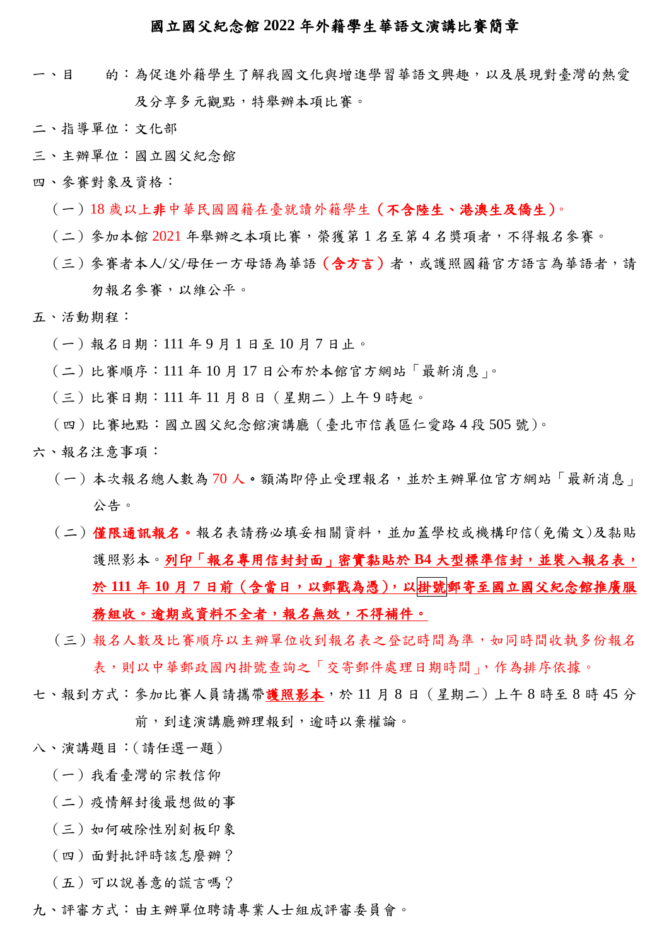#### 國立國父紀念館 **2022** 年外籍學生華語文演講比賽簡章

- 一、目 的:為促進外籍學生了解我國文化與增進學習華語文興趣,以及展現對臺灣的熱愛 及分享多元觀點,特舉辦本項比賽。
- 二、指導單位:文化部
- 三、主辦單位:國立國父紀念館
- 四、參賽對象及資格:
	- (一)18 歲以上非中華民國國籍在臺就讀外籍學生(不含陸生、港澳生及僑生)。
	- (二)參加本館 2021 年舉辦之本項比賽,榮獲第 1 名至第 4 名獎項者,不得報名參賽。
	- (三)參賽者本人/父/母任一方母語為華語 (含方言)者,或護照國籍官方語言為華語者,請 勿報名參賽,以維公平。
- 五、活動期程:
	- (一)報名日期:111 年 9 月 1 日至 10 月 7 日止。
	- (二)比賽順序:111 年 10 月 17 日公布於本館官方網站「最新消息」。
	- (三)比賽日期:111 年 11 月 8 日(星期二)上午 9 時起。
	- (四)比賽地點:國立國父紀念館演講廳(臺北市信義區仁愛路 4 段 505 號)。
- 六、報名注意事項:
	- (一)本次報名總人數為 70 人。額滿即停止受理報名,並於主辦單位官方網站「最新消息」 公告。
	- (二)僅限通訊報名。報名表請務必填妥相關資料,並加蓋學校或機構印信(免備文)及黏貼 護照影本。列印「報名專用信封封面」密實黏貼於 B4 大型標準信封,並裝入報名表, 於 **111** 年 **10** 月 **7** 日前(含當日,以郵戳為憑),以掛號郵寄至國立國父紀念館推廣服 務組收。逾期或資料不全者,報名無效,不得補件。
	- (三)報名人數及比賽順序以主辦單位收到報名表之登記時間為準,如同時間收執多份報名 表,則以中華郵政國內掛號查詢之「交寄郵件處理日期時間」,作為排序依據。
- 七、報到方式:參加比賽人員請攜帶護照影本,於11月8日 (星期二)上午8時至8時45分 前,到達演講廳辦理報到,逾時以棄權論。
- 八、演講題目:(請任選一題)
	- (一)我看臺灣的宗教信仰
	- (二)疫情解封後最想做的事
	- (三)如何破除性別刻板印象
	- (四)面對批評時該怎麼辦?
	- (五)可以說善意的謊言嗎?
- 九、評審方式:由主辦單位聘請專業人士組成評審委員會。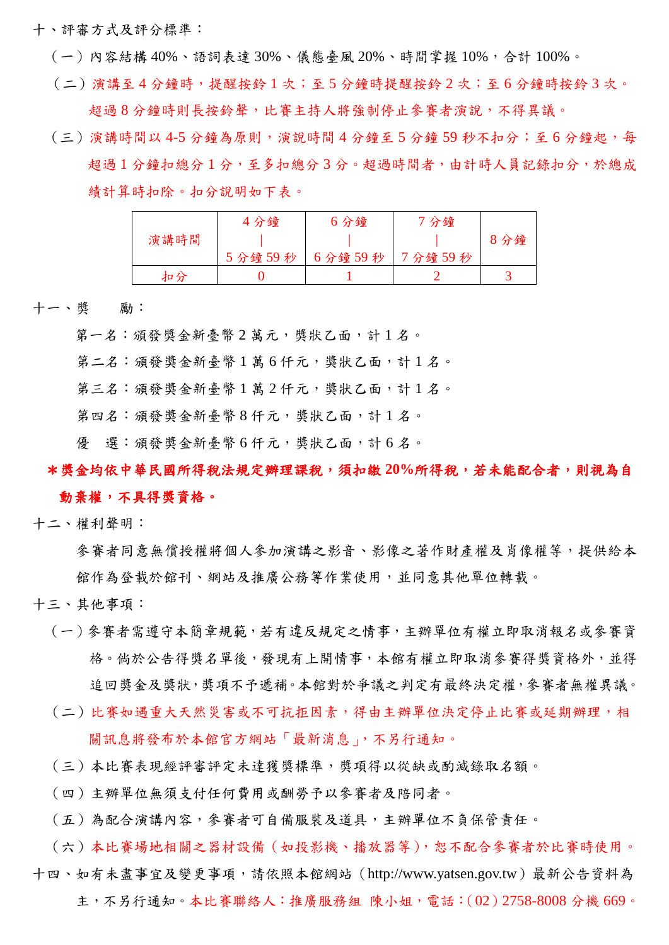十、評審方式及評分標準:

- (一)內容結構 40%、語詞表達 30%、儀態臺風 20%、時間掌握 10%,合計 100%。
- (二)演講至 4 分鐘時,提醒按鈴 1 次;至 5 分鐘時提醒按鈴 2 次;至 6 分鐘時按鈴 3 次。 超過 8 分鐘時則長按鈴聲,比賽主持人將強制停止參賽者演說,不得異議。
- (三)演講時間以 4-5 分鐘為原則,演說時間 4 分鐘至 5 分鐘 59 秒不扣分;至 6 分鐘起,每 超過 1 分鐘扣總分 1 分,至多扣總分 3 分。超過時間者,由計時人員記錄扣分,於總成 績計算時扣除。扣分說明如下表。

|      | 4分鐘    | 6分鐘    | 7 分鐘   |    |  |
|------|--------|--------|--------|----|--|
| 演講時間 |        |        |        | 分鐘 |  |
|      | 5分鐘59秒 | 6分鐘59秒 | 7分鐘59秒 |    |  |
| 扣分   |        |        |        |    |  |

十一、獎 勵:

第一名:頒發獎金新臺幣2萬元,獎狀乙面,計1名。

第二名: 頒發獎金新臺幣1萬6仟元,獎狀乙面,計1名。

第三名: 頒發獎金新臺幣1萬2仟元,獎狀乙面,計1名。

第四名: 頒發獎金新臺幣8仟元,獎狀乙面,計1名。

優 選:頒發獎金新臺幣6仟元,獎狀乙面,計6名。

# \*獎金均依中華民國所得稅法規定辦理課稅,須扣繳 **20%**所得稅,若未能配合者,則視為自

#### 動棄權,不具得獎資格。

十二、權利聲明:

參賽者同意無償授權將個人參加演講之影音、影像之著作財產權及肖像權等,提供給本 館作為登載於館刊、網站及推廣公務等作業使用,並同意其他單位轉載。

十三、其他事項:

- (一)參賽者需遵守本簡章規範,若有違反規定之情事,主辦單位有權立即取消報名或參賽資 格。倘於公告得獎名單後,發現有上開情事,本館有權立即取消參賽得獎資格外,並得 追回獎金及獎狀,獎項不予遞補。本館對於爭議之判定有最終決定權,參賽者無權異議。
- (二)比賽如遇重大天然災害或不可抗拒因素,得由主辦單位決定停止比賽或延期辦理,相 關訊息將發布於本館官方網站「最新消息」,不另行通知。
- (三)本比賽表現經評審評定未達獲獎標準,獎項得以從缺或酌減錄取名額。
- (四)主辦單位無須支付任何費用或酬勞予以參賽者及陪同者。
- (五)為配合演講內容,參賽者可自備服裝及道具,主辦單位不負保管責任。

(六)本比賽場地相關之器材設備(如投影機、播放器等),恕不配合參賽者於比賽時使用。 十四、如有未盡事宜及變更事項,請依照本館網站(http://www.yatsen.gov.tw)最新公告資料為 主,不另行通知。本比賽聯絡人:推廣服務組 陳小姐,電話:(02)2758-8008 分機 669。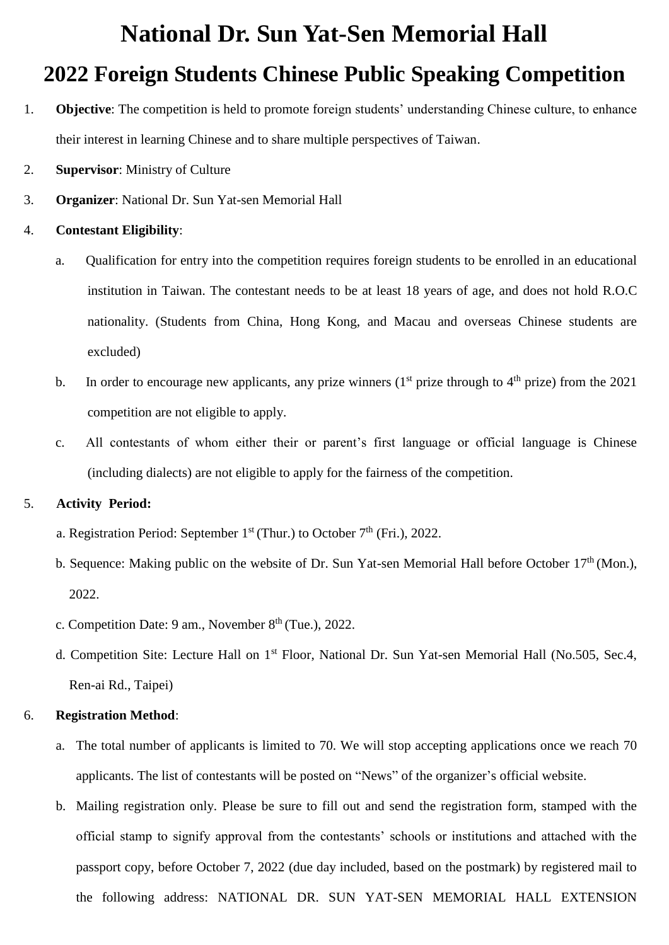# **National Dr. Sun Yat-Sen Memorial Hall**

### **2022 Foreign Students Chinese Public Speaking Competition**

- 1. **Objective**: The competition is held to promote foreign students' understanding Chinese culture, to enhance their interest in learning Chinese and to share multiple perspectives of Taiwan.
- 2. **Supervisor**: Ministry of Culture
- 3. **Organizer**: National Dr. Sun Yat-sen Memorial Hall

#### 4. **Contestant Eligibility**:

- a. Qualification for entry into the competition requires foreign students to be enrolled in an educational institution in Taiwan. The contestant needs to be at least 18 years of age, and does not hold R.O.C nationality. (Students from China, Hong Kong, and Macau and overseas Chinese students are excluded)
- b. In order to encourage new applicants, any prize winners  $(1<sup>st</sup> p$  prize through to  $4<sup>th</sup> p$  prize) from the 2021 competition are not eligible to apply.
- c. All contestants of whom either their or parent's first language or official language is Chinese (including dialects) are not eligible to apply for the fairness of the competition.

#### 5. **Activity Period:**

- a. Registration Period: September  $1<sup>st</sup>$  (Thur.) to October  $7<sup>th</sup>$  (Fri.), 2022.
- b. Sequence: Making public on the website of Dr. Sun Yat-sen Memorial Hall before October 17<sup>th</sup> (Mon.). 2022.
- c. Competition Date: 9 am., November  $8<sup>th</sup>$  (Tue.), 2022.
- d. Competition Site: Lecture Hall on 1<sup>st</sup> Floor, National Dr. Sun Yat-sen Memorial Hall (No.505, Sec.4, Ren-ai Rd., Taipei)

#### 6. **Registration Method**:

- a. The total number of applicants is limited to 70. We will stop accepting applications once we reach 70 applicants. The list of contestants will be posted on "News" of the organizer's official website.
- b. Mailing registration only. Please be sure to fill out and send the registration form, stamped with the official stamp to signify approval from the contestants' schools or institutions and attached with the passport copy, before October 7, 2022 (due day included, based on the postmark) by registered mail to the following address: NATIONAL DR. SUN YAT-SEN MEMORIAL HALL EXTENSION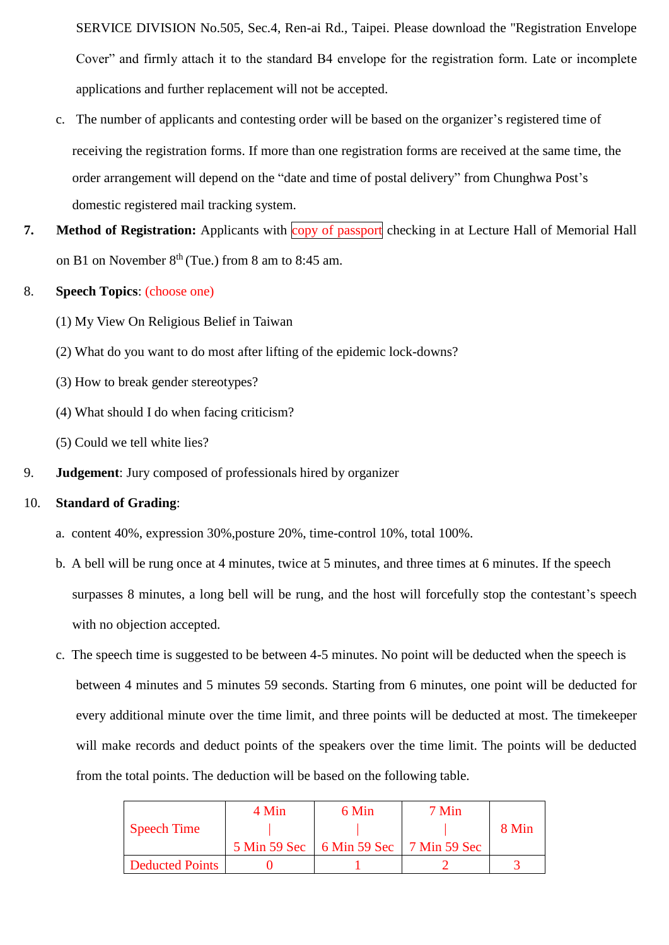SERVICE DIVISION No.505, Sec.4, Ren-ai Rd., Taipei. Please download the "Registration Envelope Cover" and firmly attach it to the standard B4 envelope for the registration form. Late or incomplete applications and further replacement will not be accepted.

- c. The number of applicants and contesting order will be based on the organizer's registered time of receiving the registration forms. If more than one registration forms are received at the same time, the order arrangement will depend on the "date and time of postal delivery" from Chunghwa Post's domestic registered mail tracking system.
- **7. Method of Registration:** Applicants with copy of passport checking in at Lecture Hall of Memorial Hall on B1 on November  $8<sup>th</sup>$  (Tue.) from 8 am to 8:45 am.

#### 8. **Speech Topics**: (choose one)

- (1) My View On Religious Belief in Taiwan
- (2) What do you want to do most after lifting of the epidemic lock-downs?
- (3) How to break gender stereotypes?
- (4) What should I do when facing criticism?
- (5) Could we tell white lies?
- 9. **Judgement**: Jury composed of professionals hired by organizer

#### 10. **Standard of Grading**:

- a. content 40%, expression 30%,posture 20%, time-control 10%, total 100%.
- b. A bell will be rung once at 4 minutes, twice at 5 minutes, and three times at 6 minutes. If the speech surpasses 8 minutes, a long bell will be rung, and the host will forcefully stop the contestant's speech with no objection accepted.
- c. The speech time is suggested to be between 4-5 minutes. No point will be deducted when the speech is between 4 minutes and 5 minutes 59 seconds. Starting from 6 minutes, one point will be deducted for every additional minute over the time limit, and three points will be deducted at most. The timekeeper will make records and deduct points of the speakers over the time limit. The points will be deducted from the total points. The deduction will be based on the following table.

|                        | 4 Min        | 6 Min                       | 7 Min |       |  |
|------------------------|--------------|-----------------------------|-------|-------|--|
| <b>Speech Time</b>     |              |                             |       | 8 Min |  |
|                        | 5 Min 59 Sec | 6 Min 59 Sec   7 Min 59 Sec |       |       |  |
| <b>Deducted Points</b> |              |                             |       |       |  |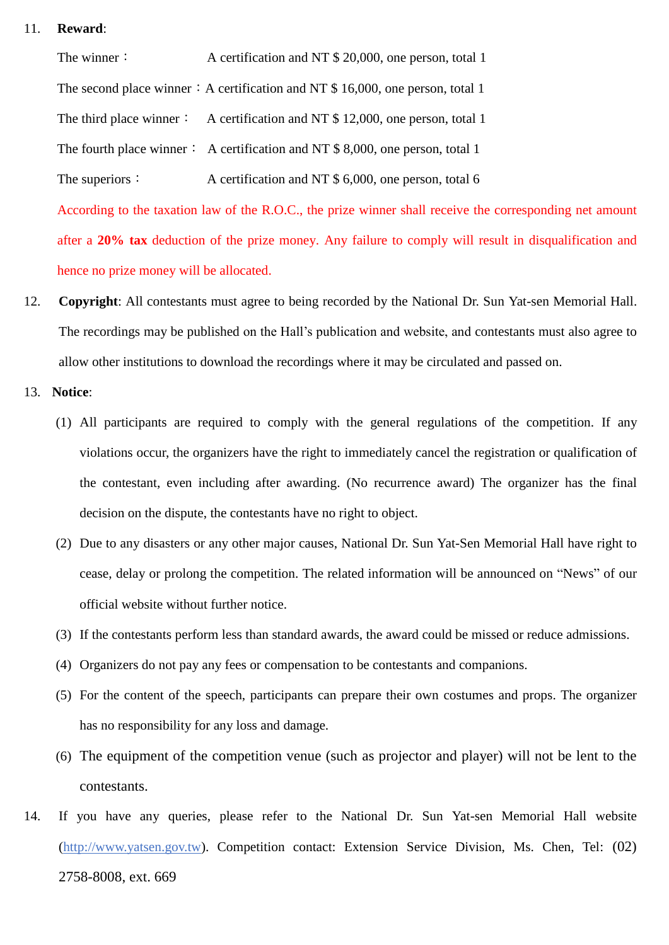#### 11. **Reward**:

The winner:<br>A certification and NT \$ 20,000, one person, total 1 The second place winner : A certification and NT \$ 16,000, one person, total 1 The third place winner: A certification and NT  $$ 12,000$ , one person, total 1 The fourth place winner: A certification and NT  $$ 8,000$ , one person, total 1 The superiors: A certification and NT \$ 6,000, one person, total 6 According to the taxation law of the R.O.C., the prize winner shall receive the corresponding net amount after a **20% tax** deduction of the prize money. Any failure to comply will result in disqualification and

- 12. **Copyright**: All contestants must agree to being recorded by the National Dr. Sun Yat-sen Memorial Hall. The recordings may be published on the Hall's publication and website, and contestants must also agree to allow other institutions to download the recordings where it may be circulated and passed on.
- 13. **Notice**:

hence no prize money will be allocated.

- (1) All participants are required to comply with the general regulations of the competition. If any violations occur, the organizers have the right to immediately cancel the registration or qualification of the contestant, even including after awarding. (No recurrence award) The organizer has the final decision on the dispute, the contestants have no right to object.
- (2) Due to any disasters or any other major causes, National Dr. Sun Yat-Sen Memorial Hall have right to cease, delay or prolong the competition. The related information will be announced on "News" of our official website without further notice.
- (3) If the contestants perform less than standard awards, the award could be missed or reduce admissions.
- (4) Organizers do not pay any fees or compensation to be contestants and companions.
- (5) For the content of the speech, participants can prepare their own costumes and props. The organizer has no responsibility for any loss and damage.
- (6) The equipment of the competition venue (such as projector and player) will not be lent to the contestants.
- 14. If you have any queries, please refer to the National Dr. Sun Yat-sen Memorial Hall website [\(http://www.yatsen.gov.tw\)](http://www.yatsen.gov.tw/). Competition contact: Extension Service Division, Ms. Chen, Tel: (02) 2758-8008, ext. 669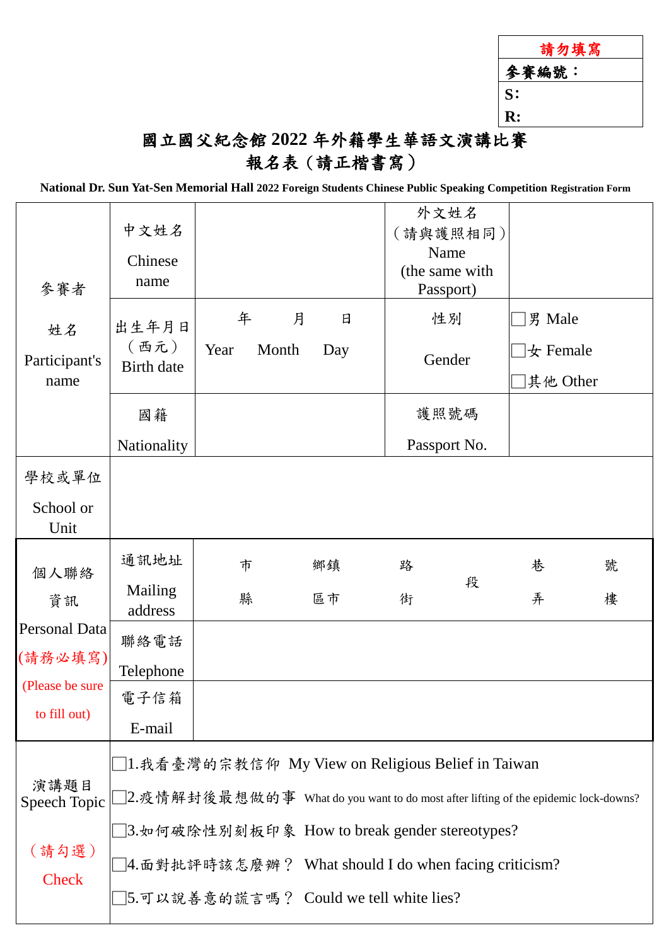| 請勿填寫           |
|----------------|
| 參賽編號:          |
| S:             |
| $\mathbf{R}$ : |
|                |

### 國立國父紀念館 **2022** 年外籍學生華語文演講比賽 報名表(請正楷書寫)

**National Dr. Sun Yat-Sen Memorial Hall 2022 Foreign Students Chinese Public Speaking Competition Registration Form**

| 參賽者<br>姓名<br>Participant's<br>name                                        | 中文姓名<br>Chinese<br>name                                                                                                                                                                                                                                                                         |                    |               | 外文姓名<br>(請與護照相同)<br>Name<br>(the same with<br>Passport) |                                          |        |
|---------------------------------------------------------------------------|-------------------------------------------------------------------------------------------------------------------------------------------------------------------------------------------------------------------------------------------------------------------------------------------------|--------------------|---------------|---------------------------------------------------------|------------------------------------------|--------|
|                                                                           | 出生年月日<br>(西元)<br><b>Birth</b> date                                                                                                                                                                                                                                                              | 年<br>Year<br>Month | 月<br>日<br>Day | 性別<br>Gender                                            | 男 Male<br>$\bigstar$ Female<br> 其他 Other |        |
|                                                                           | 國籍<br>Nationality                                                                                                                                                                                                                                                                               |                    |               | 護照號碼<br>Passport No.                                    |                                          |        |
| 學校或單位<br>School or<br>Unit                                                |                                                                                                                                                                                                                                                                                                 |                    |               |                                                         |                                          |        |
| 個人聯絡<br>資訊<br>Personal Data<br>(請務必填寫)<br>(Please be sure<br>to fill out) | 通訊地址<br>Mailing<br>address<br>聯絡電話<br>Telephone<br>電子信箱<br>E-mail                                                                                                                                                                                                                               | 市<br>縣             | 鄉鎮<br>區市      | 路<br>段<br>街                                             | 巷<br>弄                                   | 號<br>樓 |
| 演講題目<br>Speech Topic<br>(請勾選)<br>Check                                    | □1.我看臺灣的宗教信仰 My View on Religious Belief in Taiwan<br>□2.疫情解封後最想做的事 What do you want to do most after lifting of the epidemic lock-downs?<br>□3.如何破除性別刻板印象 How to break gender stereotypes?<br>□4.面對批評時該怎麼辦? What should I do when facing criticism?<br>□5.可以說善意的謊言嗎? Could we tell white lies? |                    |               |                                                         |                                          |        |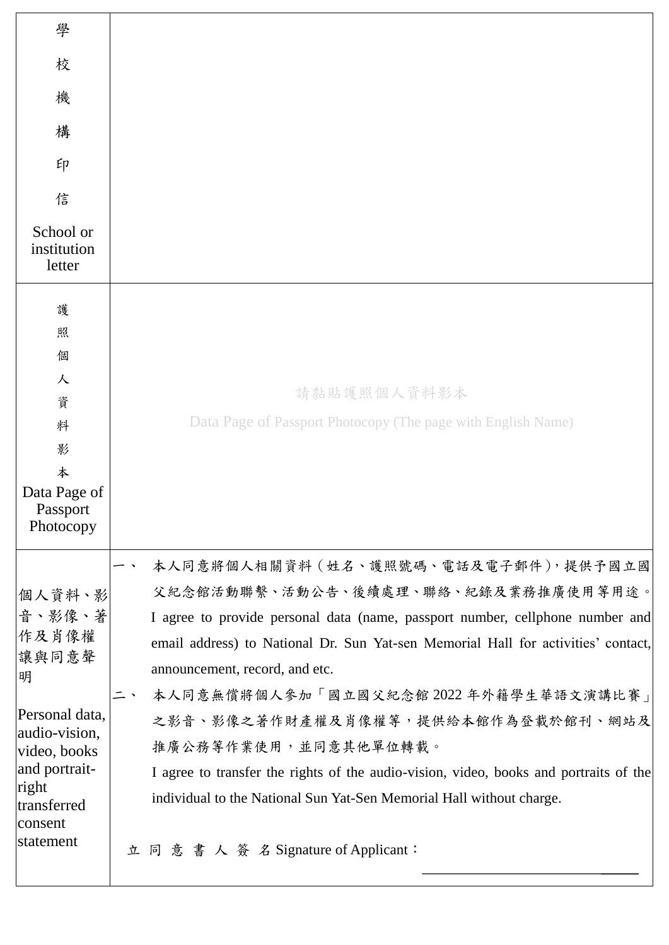| 學                                                                                                                                                           |                                                                                                                                                                                                                                                                                                                                                                                                                                                                                                                                                                                               |
|-------------------------------------------------------------------------------------------------------------------------------------------------------------|-----------------------------------------------------------------------------------------------------------------------------------------------------------------------------------------------------------------------------------------------------------------------------------------------------------------------------------------------------------------------------------------------------------------------------------------------------------------------------------------------------------------------------------------------------------------------------------------------|
| 校                                                                                                                                                           |                                                                                                                                                                                                                                                                                                                                                                                                                                                                                                                                                                                               |
| 機                                                                                                                                                           |                                                                                                                                                                                                                                                                                                                                                                                                                                                                                                                                                                                               |
| 構                                                                                                                                                           |                                                                                                                                                                                                                                                                                                                                                                                                                                                                                                                                                                                               |
| 印                                                                                                                                                           |                                                                                                                                                                                                                                                                                                                                                                                                                                                                                                                                                                                               |
| 信                                                                                                                                                           |                                                                                                                                                                                                                                                                                                                                                                                                                                                                                                                                                                                               |
| School or<br>institution<br>letter                                                                                                                          |                                                                                                                                                                                                                                                                                                                                                                                                                                                                                                                                                                                               |
| 護<br>照<br>個<br>人<br>資<br>料<br>影<br>本<br>Data Page of<br>Passport                                                                                            | 請黏貼護照個人資料影本<br>Data Page of Passport Photocopy (The page with English Name)                                                                                                                                                                                                                                                                                                                                                                                                                                                                                                                   |
| Photocopy                                                                                                                                                   |                                                                                                                                                                                                                                                                                                                                                                                                                                                                                                                                                                                               |
| 個人資料、影<br>音、影像、著<br>作及肖像權<br>讓與同意聲<br>明<br>Personal data,<br>audio-vision,<br>video, books<br>and portrait-<br>right<br>transferred<br>consent<br>statement | 本人同意將個人相關資料 (姓名、護照號碼、電話及電子郵件), 提供予國立國<br>父紀念館活動聯繫、活動公告、後續處理、聯絡、紀錄及業務推廣使用等用途。<br>I agree to provide personal data (name, passport number, cellphone number and<br>email address) to National Dr. Sun Yat-sen Memorial Hall for activities' contact,<br>announcement, record, and etc.<br>本人同意無償將個人參加「國立國父紀念館2022年外籍學生華語文演講比賽」<br>之影音、影像之著作財產權及肖像權等,提供給本館作為登載於館刊、網站及<br>推廣公務等作業使用,並同意其他單位轉載。<br>I agree to transfer the rights of the audio-vision, video, books and portraits of the<br>individual to the National Sun Yat-Sen Memorial Hall without charge.<br>立同意書人簽名Signature of Applicant: |